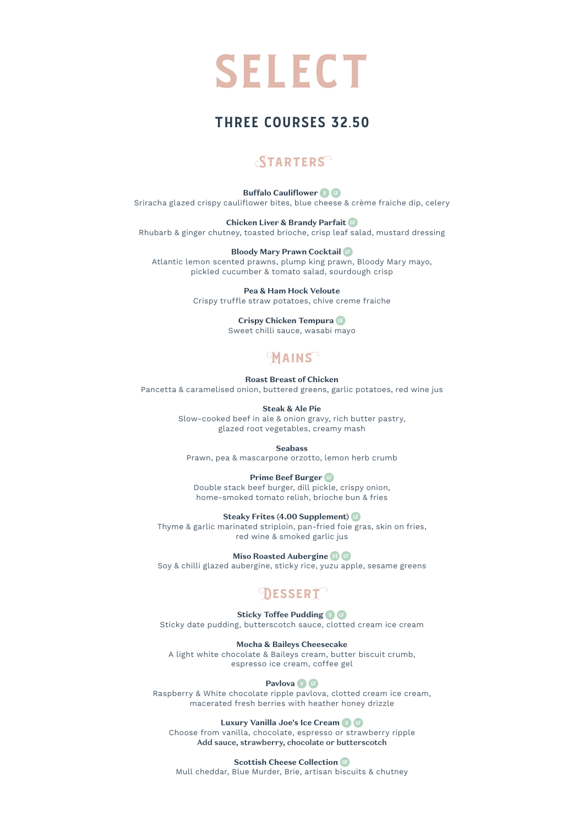

## THREE COURSES 32.50

## **STARTERS**

#### **Buffalo Cauliflower**

Sriracha glazed crispy cauliflower bites, blue cheese & crème fraiche dip, celery

#### **Chicken Liver & Brandy Parfait**

Rhubarb & ginger chutney, toasted brioche, crisp leaf salad, mustard dressing

#### **Bloody Mary Prawn Cocktail**

Atlantic lemon scented prawns, plump king prawn, Bloody Mary mayo, pickled cucumber & tomato salad, sourdough crisp

#### **Pea & Ham Hock Veloute**

Crispy truffle straw potatoes, chive creme fraiche

#### **Crispy Chicken Tempura**

Sweet chilli sauce, wasabi mayo

### **MAINS**

**Roast Breast of Chicken** Pancetta & caramelised onion, buttered greens, garlic potatoes, red wine jus

#### **Steak & Ale Pie**

Slow-cooked beef in ale & onion gravy, rich butter pastry, glazed root vegetables, creamy mash

#### **Seabass**

Prawn, pea & mascarpone orzotto, lemon herb crumb

#### **Prime Beef Burger**

Double stack beef burger, dill pickle, crispy onion, home-smoked tomato relish, brioche bun & fries

#### **Steaky Frites (4.00 Supplement)**

Thyme & garlic marinated striploin, pan-fried foie gras, skin on fries, red wine & smoked garlic jus

#### **Miso Roasted Aubergine**

Soy & chilli glazed aubergine, sticky rice, yuzu apple, sesame greens

# **DESSERT**

#### **Sticky Toffee Pudding <b>O**

Sticky date pudding, butterscotch sauce, clotted cream ice cream

#### **Mocha & Baileys Cheesecake**

A light white chocolate & Baileys cream, butter biscuit crumb, espresso ice cream, coffee gel

#### **Pavlova**

Raspberry & White chocolate ripple pavlova, clotted cream ice cream, macerated fresh berries with heather honey drizzle

#### **Luxury Vanilla Joe's Ice Cream**

Choose from vanilla, chocolate, espresso or strawberry ripple Add sauce, strawberry, chocolate or butterscotch

**Scottish Cheese Collection** 

Mull cheddar, Blue Murder, Brie, artisan biscuits & chutney